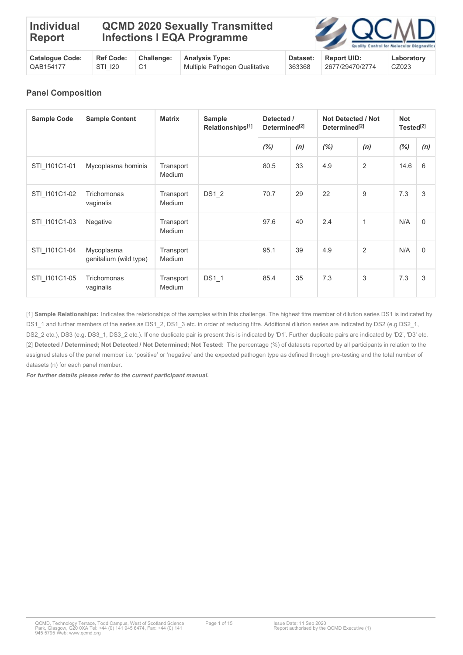| <b>Individual</b><br>Report | <b>Infections I EQA Programme</b> | <b>QCMD 2020 Sexually Transmitted</b> |  | <b>EN QCMD</b><br>Quality Control for Molecular Diagnostic |
|-----------------------------|-----------------------------------|---------------------------------------|--|------------------------------------------------------------|
|                             |                                   |                                       |  |                                                            |

| <b>Catalogue Code:</b> | <b>Ref Code:</b> | <b>Challenge:</b> | <b>Analysis Type:</b>         | Dataset: | <b>Report UID:</b> | Laboratory |
|------------------------|------------------|-------------------|-------------------------------|----------|--------------------|------------|
| QAB154177              | STI 120          |                   | Multiple Pathogen Qualitative | 363368   | 2677/29470/2774    | CZ023      |

## **Panel Composition**

| <b>Sample Code</b> | <b>Sample Content</b>                | <b>Matrix</b>              | <b>Sample</b><br>Relationships <sup>[1]</sup> | Detected /<br>Determined <sup>[2]</sup> |     | <b>Not Detected / Not</b><br>Determined <sup>[2]</sup> |              | <b>Not</b><br>Tested <sup>[2]</sup> |          |
|--------------------|--------------------------------------|----------------------------|-----------------------------------------------|-----------------------------------------|-----|--------------------------------------------------------|--------------|-------------------------------------|----------|
|                    |                                      |                            |                                               | (%)                                     | (n) | (%)                                                    | (n)          | (%)                                 | (n)      |
| STI 1101C1-01      | Mycoplasma hominis                   | Transport<br>Medium        |                                               | 80.5                                    | 33  | 4.9                                                    | 2            | 14.6                                | 6        |
| STI_I101C1-02      | Trichomonas<br>vaginalis             | Transport<br>Medium        | DS1 2                                         | 70.7                                    | 29  | 22                                                     | 9            | 7.3                                 | 3        |
| STI 1101C1-03      | Negative                             | Transport<br>Medium        |                                               | 97.6                                    | 40  | 2.4                                                    | $\mathbf{1}$ | N/A                                 | $\Omega$ |
| STI 1101C1-04      | Mycoplasma<br>genitalium (wild type) | Transport<br><b>Medium</b> |                                               | 95.1                                    | 39  | 4.9                                                    | 2            | N/A                                 | $\Omega$ |
| STI 1101C1-05      | Trichomonas<br>vaginalis             | Transport<br>Medium        | <b>DS1 1</b>                                  | 85.4                                    | 35  | 7.3                                                    | 3            | 7.3                                 | 3        |

[1] **Sample Relationships:** Indicates the relationships of the samples within this challenge. The highest titre member of dilution series DS1 is indicated by DS1\_1 and further members of the series as DS1\_2, DS1\_3 etc. in order of reducing titre. Additional dilution series are indicated by DS2 (e.g DS2\_1, DS2\_2 etc.), DS3 (e.g. DS3\_1, DS3\_2 etc.). If one duplicate pair is present this is indicated by 'D1'. Further duplicate pairs are indicated by 'D2', 'D3' etc. [2] **Detected / Determined; Not Detected / Not Determined; Not Tested:** The percentage (%) of datasets reported by all participants in relation to the assigned status of the panel member i.e. 'positive' or 'negative' and the expected pathogen type as defined through pre-testing and the total number of datasets (n) for each panel member.

*For further details please refer to the current participant manual.*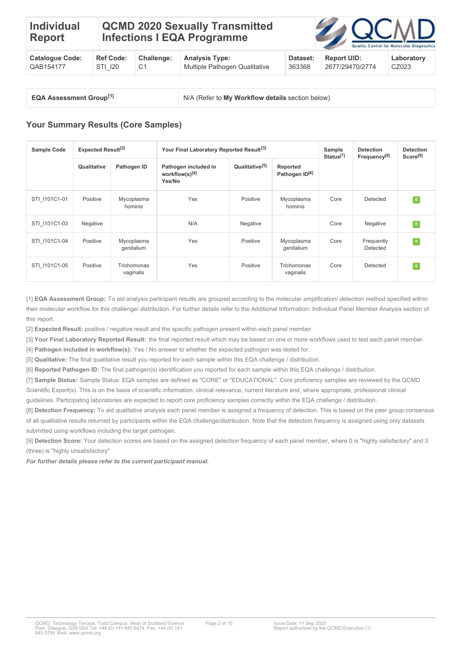#### **Individual Report QCMD 2020 Sexually Transmitted Infections I EQA Programme**

| <b>Cataloque Code:</b> |         | Ref Code: Challenge: | <b>Analysis Type:</b>           | Dataset: | Report UID:     | Laboratory |
|------------------------|---------|----------------------|---------------------------------|----------|-----------------|------------|
| QAB154177              | STI 120 |                      | ↓ Multiple Pathogen Qualitative | 363368   | 2677/29470/2774 | CZ023      |

| <b>EQA Assessment Group[1]</b> |  |
|--------------------------------|--|
|--------------------------------|--|

**N/A (Refer to My Workflow details section below)** 

# **Your Summary Results (Core Samples)**

| <b>Sample Code</b> | <b>Expected Result<sup>[2]</sup></b> |                          | Your Final Laboratory Reported Result <sup>[3]</sup> |                            |                                        | Sample<br>Status <sup>[7]</sup> | <b>Detection</b><br>Frequency <sup>[8]</sup> | <b>Detection</b><br>Score <sup>[9]</sup> |
|--------------------|--------------------------------------|--------------------------|------------------------------------------------------|----------------------------|----------------------------------------|---------------------------------|----------------------------------------------|------------------------------------------|
|                    | Qualitative                          | Pathogen ID              | Pathogen included in<br>workflow(s)[4]<br>Yes/No     | Qualitative <sup>[5]</sup> | Reported<br>Pathogen ID <sup>[6]</sup> |                                 |                                              |                                          |
| STI 1101C1-01      | Positive                             | Mycoplasma<br>hominis    | Yes                                                  | Positive                   | Mycoplasma<br>hominis                  | Core                            | Detected                                     | $\bullet$                                |
| STI 1101C1-03      | Negative                             |                          | N/A                                                  | Negative                   |                                        | Core                            | Negative                                     | $\,$ 0 $\,$                              |
| STI 1101C1-04      | Positive                             | Mycoplasma<br>genitalium | Yes                                                  | Positive                   | Mycoplasma<br>genitalium               | Core                            | Frequently<br>Detected                       | $\bullet$                                |
| STI 1101C1-05      | Positive                             | Trichomonas<br>vaginalis | Yes                                                  | Positive                   | Trichomonas<br>vaginalis               | Core                            | Detected                                     | $\overline{\mathbf{0}}$                  |

[1] **EQA Assessment Group:** To aid analysis participant results are grouped according to the molecular amplification/ detection method specified within their molecular workflow for this challenge/ distribution. For further details refer to the Additional Information: Individual Panel Member Analysis section of this report.

[2] **Expected Result:** positive / negative result and the specific pathogen present within each panel member.

[3] **Your Final Laboratory Reported Result:** the final reported result which may be based on one or more workflows used to test each panel member.

[4] **Pathogen included in workflow(s):** Yes / No answer to whether the expected pathogen was tested for. [5] **Qualitative:** The final qualitative result you reported for each sample within this EQA challenge / distribution.

[6] **Reported Pathogen ID:** The final pathogen(s) identification you reported for each sample within this EQA challenge / distribution.

[7] **Sample Status:** Sample Status: EQA samples are defined as "CORE" or "EDUCATIONAL". Core proficiency samples are reviewed by the QCMD Scientific Expert(s). This is on the basis of scientific information, clinical relevance, current literature and, where appropriate, professional clinical

guidelines. Participating laboratories are expected to report core proficiency samples correctly within the EQA challenge / distribution.

[8] **Detection Frequency:** To aid qualitative analysis each panel member is assigned a frequency of detection. This is based on the peer group consensus of all qualitative results returned by participants within the EQA challenge/distribution. Note that the detection frequency is assigned using only datasets submitted using workflows including the target pathogen.

[9] **Detection Score:** Your detection scores are based on the assigned detection frequency of each panel member, where 0 is "highly satisfactory" and 3 (three) is "highly unsatisfactory"

*For further details please refer to the current participant manual.*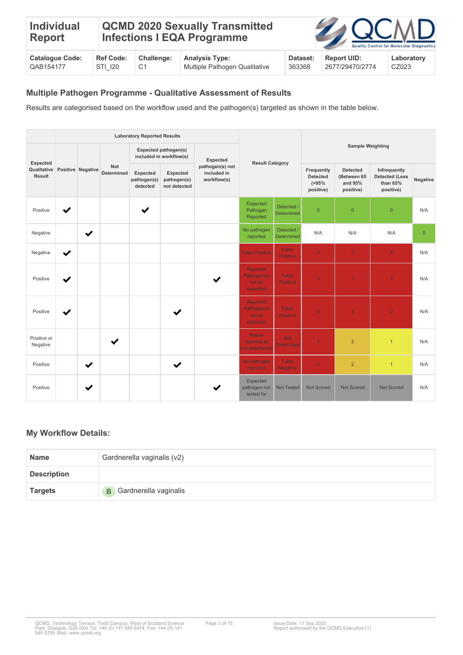| <b>Individual</b><br>Report |                  |            | <b>QCMD 2020 Sexually Transmitted</b><br><b>Infections I EQA Programme</b> |          | <b>ZAQCMD</b>      | Quality Control for Molecular Diagnostic: |
|-----------------------------|------------------|------------|----------------------------------------------------------------------------|----------|--------------------|-------------------------------------------|
| <b>Catalogue Code:</b>      | <b>Ref Code:</b> | Challenge: | <b>Analysis Type:</b>                                                      | Dataset: | <b>Report UID:</b> | Laboratory                                |

CZ023

| QAB154177 | 120 | Multiple Pathogen Qualitative | 363368 | 2677/29470/2774 |
|-----------|-----|-------------------------------|--------|-----------------|
|           |     |                               |        |                 |

#### **Multiple Pathogen Programme - Qualitative Assessment of Results**

Results are categorised based on the workflow used and the pathogen(s) targeted as shown in the table below.

|                         |              |                   |                                 | <b>Laboratory Reported Results</b>  |                                                 |                                               |                                               |                                 |                   |                         |                                                     |                                                        |                                                                |          |
|-------------------------|--------------|-------------------|---------------------------------|-------------------------------------|-------------------------------------------------|-----------------------------------------------|-----------------------------------------------|---------------------------------|-------------------|-------------------------|-----------------------------------------------------|--------------------------------------------------------|----------------------------------------------------------------|----------|
| Expected                |              |                   |                                 |                                     | Expected pathogen(s)<br>included in workflow(s) | Expected                                      | <b>Result Category</b>                        |                                 |                   | <b>Sample Weighting</b> |                                                     |                                                        |                                                                |          |
| Qualitative<br>Result   |              | Positive Negative | <b>Not</b><br><b>Determined</b> | Expected<br>pathogen(s)<br>detected | Expected<br>pathogen(s)<br>not detected         | pathogen(s) not<br>included in<br>workflow(s) |                                               |                                 |                   |                         | Frequently<br>Detected<br>$( > 95\% )$<br>positive) | <b>Detected</b><br>(Between 65<br>and 95%<br>positive) | Infrequently<br><b>Detected (Less</b><br>than 65%<br>positive) | Negative |
| Positive                | $\checkmark$ |                   |                                 | ✔                                   |                                                 |                                               | Expected<br>Pathogen<br>Reported              | Detected /<br>Determined        | $\overline{0}$    | $\overline{0}$          | $\overline{0}$                                      | N/A                                                    |                                                                |          |
| Negative                |              | ✔                 |                                 |                                     |                                                 |                                               | No pathogen<br>reported                       | Detected /<br><b>Determined</b> | N/A               | N/A                     | N/A                                                 | $\overline{0}$                                         |                                                                |          |
| Negative                | $\checkmark$ |                   |                                 |                                     |                                                 |                                               | <b>False Positive</b>                         | False<br><b>Positive</b>        | 3 <sup>°</sup>    | $\overline{3}$          | 3 <sup>°</sup>                                      | N/A                                                    |                                                                |          |
| Positive                | ✔            |                   |                                 |                                     |                                                 |                                               | Reported<br>Pathogen(s)<br>not as<br>expected | False<br><b>Positive</b>        | 3                 | 3                       | 3                                                   | N/A                                                    |                                                                |          |
| Positive                | ✔            |                   |                                 |                                     |                                                 |                                               | Reported<br>Pathogen(s)<br>not as<br>expected | False<br><b>Positive</b>        | $\overline{3}$    | $\overline{3}$          | $\overline{3}$                                      | N/A                                                    |                                                                |          |
| Positive or<br>Negative |              |                   | ✔                               |                                     |                                                 |                                               | <b>Result</b><br>reported as<br>ot determined | <b>Not</b><br>Determined        | 3                 | $\overline{2}$          | $\overline{1}$                                      | N/A                                                    |                                                                |          |
| Positive                |              | ✔                 |                                 |                                     | $\checkmark$                                    |                                               | No pathogen<br>reported                       | False<br><b>Negative</b>        | 3                 | $\overline{2}$          | $\mathbf{1}$                                        | N/A                                                    |                                                                |          |
| Positive                |              | $\checkmark$      |                                 |                                     |                                                 |                                               | Expected<br>pathogen not<br>tested for        | <b>Not Tested</b>               | <b>Not Scored</b> | <b>Not Scored</b>       | <b>Not Scored</b>                                   | N/A                                                    |                                                                |          |

### **My Workflow Details:**

| <b>Name</b>        | Gardnerella vaginalis (v2)     |
|--------------------|--------------------------------|
| <b>Description</b> |                                |
| Targets            | <b>B</b> Gardnerella vaginalis |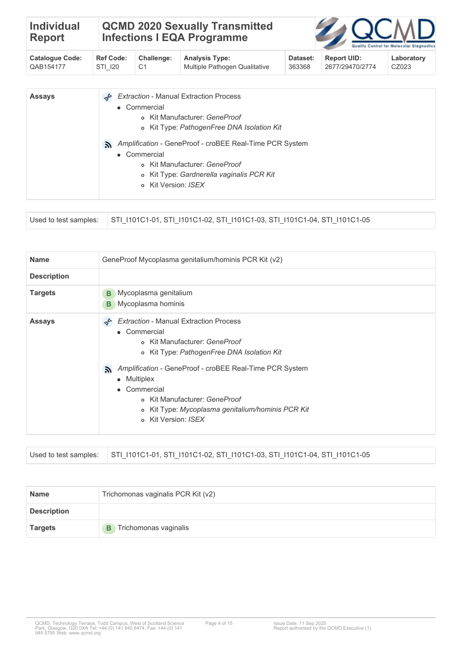| <b>Individual</b> | <b>QCMD 2020 Sexually Transmitted</b> |
|-------------------|---------------------------------------|
| Report            | <b>Infections I EQA Programme</b>     |



| Catalogue Code: | <b>Ref Code:</b> | Challenge: | <b>Analysis Type:</b>           | Dataset: | <b>Report UID:</b> | Laboratory |
|-----------------|------------------|------------|---------------------------------|----------|--------------------|------------|
| QAB154177       | STI 120          |            | ↓ Multiple Pathogen Qualitative | 363368   | 2677/29470/2774    | CZ023      |

| <b>Assays</b> | <b>Extraction - Manual Extraction Process</b>                 |
|---------------|---------------------------------------------------------------|
|               | • Commercial                                                  |
|               | o Kit Manufacturer: GeneProof                                 |
|               | o Kit Type: PathogenFree DNA Isolation Kit                    |
|               | Amplification - GeneProof - croBEE Real-Time PCR System<br>A. |
|               | • Commercial                                                  |
|               | o Kit Manufacturer: GeneProof                                 |
|               | o Kit Type: Gardnerella vaginalis PCR Kit                     |
|               | o Kit Version: ISFX                                           |

|  | Used to test samples: STI_I101C1-01, STI_I101C1-02, STI_I101C1-03, STI_I101C1-04, STI_I101C1-05 |
|--|-------------------------------------------------------------------------------------------------|
|--|-------------------------------------------------------------------------------------------------|

| <b>Name</b>        | GeneProof Mycoplasma genitalium/hominis PCR Kit (v2)                                                                                                                                                                                                                                                                                                      |
|--------------------|-----------------------------------------------------------------------------------------------------------------------------------------------------------------------------------------------------------------------------------------------------------------------------------------------------------------------------------------------------------|
| <b>Description</b> |                                                                                                                                                                                                                                                                                                                                                           |
| <b>Targets</b>     | Mycoplasma genitalium<br>B<br>Mycoplasma hominis<br>B.                                                                                                                                                                                                                                                                                                    |
| <b>Assays</b>      | <b>Extraction - Manual Extraction Process</b><br>• Commercial<br>o Kit Manufacturer: GeneProof<br>o Kit Type: PathogenFree DNA Isolation Kit<br>Amplification - GeneProof - croBEE Real-Time PCR System<br>A.<br>• Multiplex<br>• Commercial<br>o Kit Manufacturer: GeneProof<br>o Kit Type: Mycoplasma genitalium/hominis PCR Kit<br>o Kit Version: ISEX |

| Used to test samples: STI_I101C1-01, STI_I101C1-02, STI_I101C1-03, STI_I101C1-04, STI_I101C1-05 |
|-------------------------------------------------------------------------------------------------|
|                                                                                                 |

| <b>Name</b>        | Trichomonas vaginalis PCR Kit (v2) |  |  |  |
|--------------------|------------------------------------|--|--|--|
| <b>Description</b> |                                    |  |  |  |
| <b>Targets</b>     | <b>B</b> Trichomonas vaginalis     |  |  |  |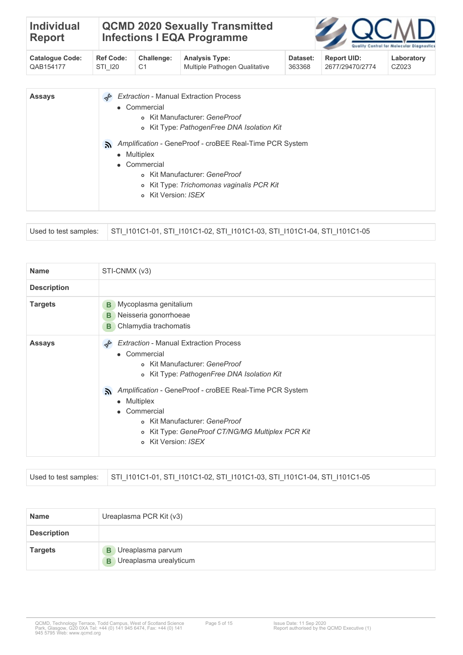| <b>Individual</b><br><b>Report</b>  |                             | <b>QCMD 2020 Sexually Transmitted</b><br><b>Infections I EQA Programme</b><br>Quality Control for Molecular Diagnostics |                                                                                                                                                                                                                                                                     |                    |                                       |                     |  |
|-------------------------------------|-----------------------------|-------------------------------------------------------------------------------------------------------------------------|---------------------------------------------------------------------------------------------------------------------------------------------------------------------------------------------------------------------------------------------------------------------|--------------------|---------------------------------------|---------------------|--|
| <b>Catalogue Code:</b><br>QAB154177 | <b>Ref Code:</b><br>STI 120 | Challenge:<br>C <sub>1</sub>                                                                                            | <b>Analysis Type:</b><br>Multiple Pathogen Qualitative                                                                                                                                                                                                              | Dataset:<br>363368 | <b>Report UID:</b><br>2677/29470/2774 | Laboratory<br>CZ023 |  |
| <b>Assays</b>                       | DR<br>λ.<br>$\bullet$       | • Commercial<br>• Multiplex<br>Commercial<br>$\circ$<br>o Kit Version: ISFX                                             | <b>Extraction - Manual Extraction Process</b><br>o Kit Manufacturer: GeneProof<br>o Kit Type: PathogenFree DNA Isolation Kit<br>Amplification - GeneProof - croBEE Real-Time PCR System<br>o Kit Manufacturer: GeneProof<br>Kit Type: Trichomonas vaginalis PCR Kit |                    |                                       |                     |  |

|  | Used to test samples: STI_I101C1-01, STI_I101C1-02, STI_I101C1-03, STI_I101C1-04, STI_I101C1-05 |
|--|-------------------------------------------------------------------------------------------------|
|--|-------------------------------------------------------------------------------------------------|

| <b>Name</b>        | STI-CNMX (v3)                                                                                                                                                                                                                                                                 |
|--------------------|-------------------------------------------------------------------------------------------------------------------------------------------------------------------------------------------------------------------------------------------------------------------------------|
| <b>Description</b> |                                                                                                                                                                                                                                                                               |
| <b>Targets</b>     | Mycoplasma genitalium<br>В<br>Neisseria gonorrhoeae<br>в<br>Chlamydia trachomatis<br>B                                                                                                                                                                                        |
| <b>Assays</b>      | <b>Extraction - Manual Extraction Process</b><br>• Commercial<br>o Kit Manufacturer: GeneProof<br>o Kit Type: PathogenFree DNA Isolation Kit<br>Amplification - GeneProof - croBEE Real-Time PCR System<br>A.<br>• Multiplex<br>• Commercial<br>o Kit Manufacturer: GeneProof |
|                    | o Kit Type: GeneProof CT/NG/MG Multiplex PCR Kit<br>o Kit Version: ISEX                                                                                                                                                                                                       |

|  | Used to test samples: STI 1101C1-01, STI 1101C1-02, STI 1101C1-03, STI 1101C1-04, STI 1101C1-05 |
|--|-------------------------------------------------------------------------------------------------|
|--|-------------------------------------------------------------------------------------------------|

| <b>Name</b>        | Ureaplasma PCR Kit (v3)                                       |
|--------------------|---------------------------------------------------------------|
| <b>Description</b> |                                                               |
| <b>Targets</b>     | <b>B</b> Ureaplasma parvum<br><b>B</b> Ureaplasma urealyticum |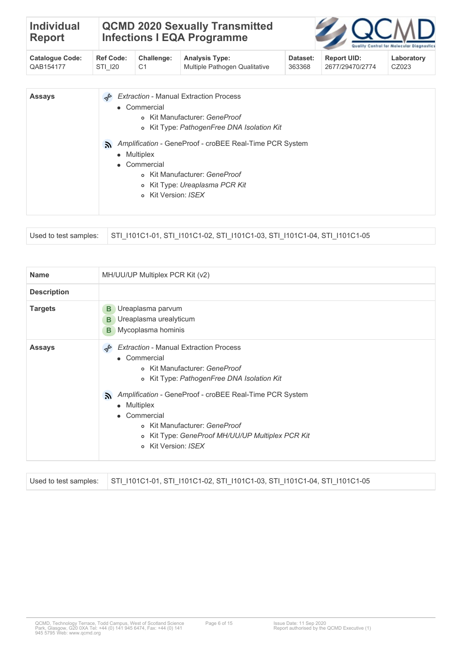| <b>Individual</b><br><b>Report</b>  | <b>QCMD 2020 Sexually Transmitted</b><br><b>Infections I EQA Programme</b> |                                                                  |                                                                                                                                                                                                                                                                               |                    |                                       | Quality Control for Molecular Diagnostic: |
|-------------------------------------|----------------------------------------------------------------------------|------------------------------------------------------------------|-------------------------------------------------------------------------------------------------------------------------------------------------------------------------------------------------------------------------------------------------------------------------------|--------------------|---------------------------------------|-------------------------------------------|
| <b>Catalogue Code:</b><br>QAB154177 | <b>Ref Code:</b><br>STI 120                                                | Challenge:<br>C <sub>1</sub>                                     | <b>Analysis Type:</b><br>Multiple Pathogen Qualitative                                                                                                                                                                                                                        | Dataset:<br>363368 | <b>Report UID:</b><br>2677/29470/2774 | Laboratory<br>CZ023                       |
| <b>Assays</b>                       | DR<br>ゕ<br>$\bullet$                                                       | • Commercial<br>• Multiplex<br>Commercial<br>$\circ$<br>$\Omega$ | <b>Extraction - Manual Extraction Process</b><br>o Kit Manufacturer: GeneProof<br>o Kit Type: PathogenFree DNA Isolation Kit<br>Amplification - GeneProof - croBEE Real-Time PCR System<br>o Kit Manufacturer: GeneProof<br>Kit Type: Ureaplasma PCR Kit<br>Kit Version: ISEX |                    |                                       |                                           |

| Used to test samples: STI 1101C1-01, STI 1101C1-02, STI 1101C1-03, STI 1101C1-04, STI 1101C1-05 |  |
|-------------------------------------------------------------------------------------------------|--|
|-------------------------------------------------------------------------------------------------|--|

| <b>Name</b>        | MH/UU/UP Multiplex PCR Kit (v2)                                                                                                                                                                                                                   |
|--------------------|---------------------------------------------------------------------------------------------------------------------------------------------------------------------------------------------------------------------------------------------------|
| <b>Description</b> |                                                                                                                                                                                                                                                   |
| <b>Targets</b>     | Ureaplasma parvum<br>B<br><b>B</b> Ureaplasma urealyticum<br>Mycoplasma hominis<br>B                                                                                                                                                              |
| <b>Assays</b>      | <b>Extraction - Manual Extraction Process</b><br>D<br>• Commercial<br>o Kit Manufacturer: GeneProof<br>o Kit Type: PathogenFree DNA Isolation Kit<br>Amplification - GeneProof - croBEE Real-Time PCR System<br>A.<br>• Multiplex<br>• Commercial |
|                    | o Kit Manufacturer: GeneProof<br>o Kit Type: GeneProof MH/UU/UP Multiplex PCR Kit<br>o Kit Version: ISEX                                                                                                                                          |

| Used to test samples:                                     STI 1101C1-01, STI 1101C1-02, STI 1101C1-03, STI 1101C1-04, STI 1101C1-05 |
|-------------------------------------------------------------------------------------------------------------------------------------|
|                                                                                                                                     |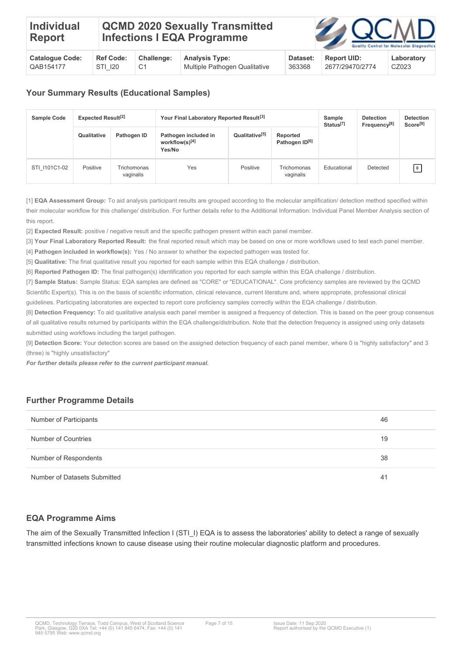| <b>Catalogue Code:</b> | <b>Ref Code:</b> | <b>Challenge:</b> | <b>Analysis Type:</b>         | Dataset: | <b>Report UID:</b> | Laboratory |
|------------------------|------------------|-------------------|-------------------------------|----------|--------------------|------------|
| CAB154177              | STI 120          |                   | Multiple Pathogen Qualitative | 363368   | 2677/29470/2774    | CZ023      |

# **Your Summary Results (Educational Samples)**

| <b>Sample Code</b> | <b>Expected Result<sup>[2]</sup></b> |                          | Your Final Laboratory Reported Result <sup>[3]</sup> | Sample<br>Status <sup>[7]</sup>                                      | <b>Detection</b><br>Frequency <sup>[8]</sup> | <b>Detection</b><br>Score <sup>[9]</sup> |          |           |
|--------------------|--------------------------------------|--------------------------|------------------------------------------------------|----------------------------------------------------------------------|----------------------------------------------|------------------------------------------|----------|-----------|
|                    | Qualitative                          | Pathogen ID              | Pathogen included in<br>workflow(s)[4]<br>Yes/No     | Qualitative <sup>[5]</sup><br>Reported<br>Pathogen ID <sup>[6]</sup> |                                              |                                          |          |           |
| STI 1101C1-02      | Positive                             | Trichomonas<br>vaginalis | Yes                                                  | Positive                                                             | Trichomonas<br>vaginalis                     | Educational                              | Detected | $\pmb{0}$ |

[1] **EQA Assessment Group:** To aid analysis participant results are grouped according to the molecular amplification/ detection method specified within their molecular workflow for this challenge/ distribution. For further details refer to the Additional Information: Individual Panel Member Analysis section of this report.

[2] **Expected Result:** positive / negative result and the specific pathogen present within each panel member.

[3] **Your Final Laboratory Reported Result:** the final reported result which may be based on one or more workflows used to test each panel member.

[4] **Pathogen included in workflow(s):** Yes / No answer to whether the expected pathogen was tested for.

[5] **Qualitative:** The final qualitative result you reported for each sample within this EQA challenge / distribution.

[6] **Reported Pathogen ID:** The final pathogen(s) identification you reported for each sample within this EQA challenge / distribution.

[7] **Sample Status:** Sample Status: EQA samples are defined as "CORE" or "EDUCATIONAL". Core proficiency samples are reviewed by the QCMD Scientific Expert(s). This is on the basis of scientific information, clinical relevance, current literature and, where appropriate, professional clinical

guidelines. Participating laboratories are expected to report core proficiency samples correctly within the EQA challenge / distribution.

[8] **Detection Frequency:** To aid qualitative analysis each panel member is assigned a frequency of detection. This is based on the peer group consensus of all qualitative results returned by participants within the EQA challenge/distribution. Note that the detection frequency is assigned using only datasets submitted using workflows including the target pathogen.

[9] **Detection Score:** Your detection scores are based on the assigned detection frequency of each panel member, where 0 is "highly satisfactory" and 3 (three) is "highly unsatisfactory"

*For further details please refer to the current participant manual.*

### **Further Programme Details**

| Number of Participants       | 46 |
|------------------------------|----|
| Number of Countries          | 19 |
| Number of Respondents        | 38 |
| Number of Datasets Submitted | 41 |

### **EQA Programme Aims**

The aim of the Sexually Transmitted Infection I (STI\_I) EQA is to assess the laboratories' ability to detect a range of sexually transmitted infections known to cause disease using their routine molecular diagnostic platform and procedures.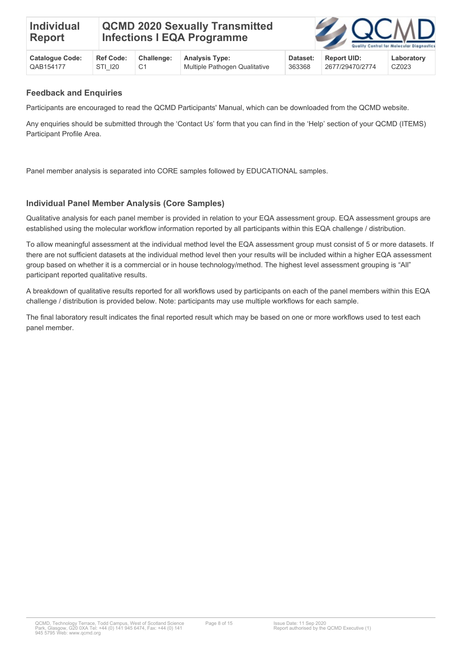# **QCMD 2020 Sexually Transmitted Infections I EQA Programme**



| <b>Catalogue Code:</b> | <b>Ref Code:</b> | Challenge: Analysis Type:     | Dataset: | <b>Report UID:</b> | Laboratory |
|------------------------|------------------|-------------------------------|----------|--------------------|------------|
| CAB154177              | STI 120          | Multiple Pathogen Qualitative | 363368   | 2677/29470/2774    | CZ023      |

#### **Feedback and Enquiries**

Participants are encouraged to read the QCMD Participants' Manual, which can be downloaded from the QCMD website.

Any enquiries should be submitted through the 'Contact Us' form that you can find in the 'Help' section of your QCMD (ITEMS) Participant Profile Area.

Panel member analysis is separated into CORE samples followed by EDUCATIONAL samples.

### **Individual Panel Member Analysis (Core Samples)**

Qualitative analysis for each panel member is provided in relation to your EQA assessment group. EQA assessment groups are established using the molecular workflow information reported by all participants within this EQA challenge / distribution.

To allow meaningful assessment at the individual method level the EQA assessment group must consist of 5 or more datasets. If there are not sufficient datasets at the individual method level then your results will be included within a higher EQA assessment group based on whether it is a commercial or in house technology/method. The highest level assessment grouping is "All" participant reported qualitative results.

A breakdown of qualitative results reported for all workflows used by participants on each of the panel members within this EQA challenge / distribution is provided below. Note: participants may use multiple workflows for each sample.

The final laboratory result indicates the final reported result which may be based on one or more workflows used to test each panel member.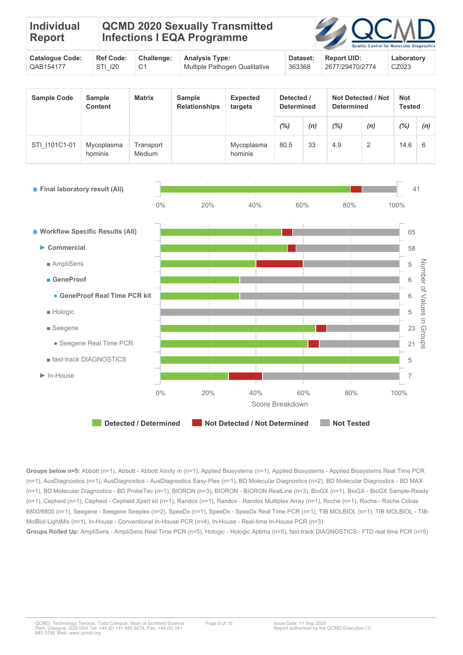| <b>Individual</b><br>Report |  | <b>QCMD 2020 Sexually Transmitted</b><br><b>Infections I EQA Programme</b> |  | <b>ZOCMD</b><br>Quality Control for Molecular Diagnostic |
|-----------------------------|--|----------------------------------------------------------------------------|--|----------------------------------------------------------|
|                             |  |                                                                            |  |                                                          |

| <b>Catalogue Code:</b> | <b>Ref Code:</b> | Challenge: | <b>Analysis Type:</b>         | Dataset: | <b>Report UID:</b> | Laboratory |
|------------------------|------------------|------------|-------------------------------|----------|--------------------|------------|
| QAB154177              | STI 120          |            | Multiple Pathogen Qualitative | 363368   | 2677/29470/2774    | CZ023      |

| <b>Sample Code</b> | <b>Sample</b><br><b>Content</b> | <b>Matrix</b>       | Sample<br><b>Relationships</b> | <b>Expected</b><br>targets |      | Detected /<br><b>Determined</b> |     | <b>Not Detected / Not</b><br><b>Determined</b> | <b>Not</b><br><b>Tested</b> |     |
|--------------------|---------------------------------|---------------------|--------------------------------|----------------------------|------|---------------------------------|-----|------------------------------------------------|-----------------------------|-----|
|                    |                                 |                     |                                |                            | (%)  | (n)                             | (%) | (n)                                            | (%)                         | (n) |
| STI 1101C1-01      | Mycoplasma<br>hominis           | Transport<br>Medium |                                | Mycoplasma<br>hominis      | 80.5 | 33                              | 4.9 | 2                                              | 14.6                        | 6   |

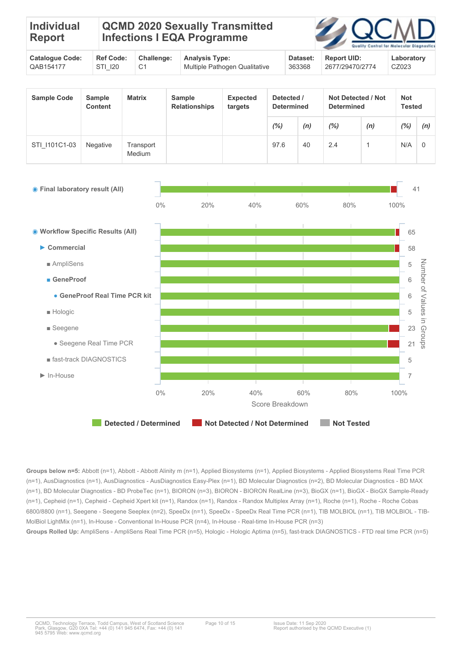| <b>Individual</b><br>Report               | <b>QCMD 2020 Sexually Transmitted</b><br><b>Infections I EQA Programme</b> |  |  | <b>ZOCMD</b>   | Quality Control for Molecular Diagnostic |
|-------------------------------------------|----------------------------------------------------------------------------|--|--|----------------|------------------------------------------|
| $\sim$ $\sim$ $\sim$ $\sim$ $\sim$ $\sim$ |                                                                            |  |  | $\blacksquare$ | .                                        |

| <b>Catalogue Code:</b> | <b>Ref Code:</b> | Challenge: | <b>Analysis Type:</b>         | Dataset: | <b>Report UID:</b> | Laboratory |
|------------------------|------------------|------------|-------------------------------|----------|--------------------|------------|
| QAB154177              | STI 120          |            | Multiple Pathogen Qualitative | 363368   | 2677/29470/2774    | CZ023      |

| <b>Sample Code</b> | <b>Sample</b><br><b>Content</b> | <b>Matrix</b>       | <b>Sample</b><br><b>Relationships</b> | <b>Expected</b><br>targets | Detected /<br><b>Determined</b> |     | <b>Not Detected / Not</b><br><b>Determined</b> |     | <b>Not</b><br><b>Tested</b> |     |
|--------------------|---------------------------------|---------------------|---------------------------------------|----------------------------|---------------------------------|-----|------------------------------------------------|-----|-----------------------------|-----|
|                    |                                 |                     |                                       |                            | $(\%)$                          | (n) | $(\%)$                                         | (n) | $\frac{1}{2}$               | (n) |
| STI 1101C1-03      | <b>Negative</b>                 | Transport<br>Medium |                                       |                            | 97.6                            | 40  | 2.4                                            |     | N/A                         | 0   |

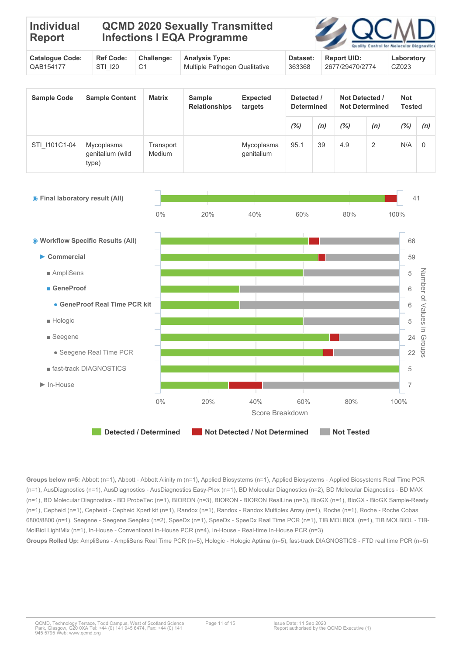| <b>Individual</b><br>Report |  | <b>QCMD 2020 Sexually Transmitted</b><br>Infections I EQA Programme |  | <b>ZOCMD</b><br>Quality Control for Molecular Diagnostic |
|-----------------------------|--|---------------------------------------------------------------------|--|----------------------------------------------------------|
|                             |  |                                                                     |  |                                                          |

| <b>Catalogue Code:</b> | <b>Ref Code:</b> | Challenge: | <b>Analysis Type:</b>         | Dataset: | <b>Report UID:</b> | Laboratory |
|------------------------|------------------|------------|-------------------------------|----------|--------------------|------------|
| QAB154177              | STI 120          |            | Multiple Pathogen Qualitative | 363368   | 2677/29470/2774    | CZ023      |

| <b>Sample Code</b> | <b>Sample Content</b>                   | <b>Matrix</b>       | <b>Sample</b><br><b>Relationships</b> | <b>Expected</b><br>targets | Detected /<br><b>Determined</b> |     | Not Detected /<br><b>Not Determined</b> |                | <b>Not</b><br><b>Tested</b> |          |
|--------------------|-----------------------------------------|---------------------|---------------------------------------|----------------------------|---------------------------------|-----|-----------------------------------------|----------------|-----------------------------|----------|
|                    |                                         |                     |                                       |                            | (%)                             | (n) | $(\%)$                                  | (n)            | $\frac{(0)}{0}$             | (n)      |
| STI 1101C1-04      | Mycoplasma<br>genitalium (wild<br>type) | Transport<br>Medium |                                       | Mycoplasma<br>genitalium   | 95.1                            | 39  | 4.9                                     | $\overline{2}$ | N/A                         | $\Omega$ |

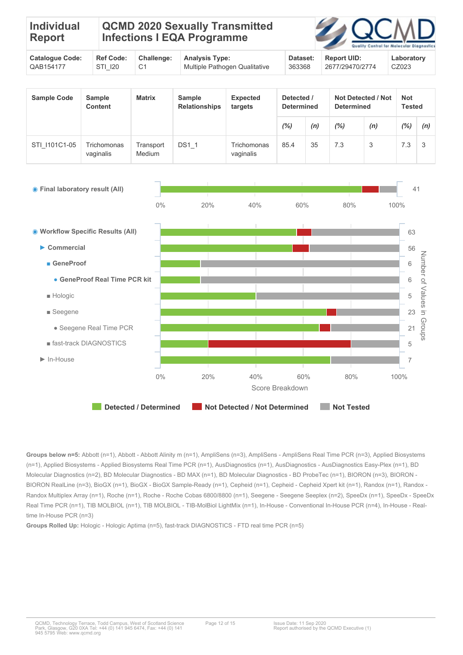| <b>Individual</b><br>Report |  | <b>QCMD 2020 Sexually Transmitted</b><br><b>Infections I EQA Programme</b> |  | <b>ZAQCMD</b><br>Quality Control for Molecular Diagnostic |  |
|-----------------------------|--|----------------------------------------------------------------------------|--|-----------------------------------------------------------|--|
|                             |  |                                                                            |  |                                                           |  |

| <b>Catalogue Code:</b> | <b>Ref Code:</b> | Challenge: | <b>Analysis Type:</b>         | Dataset: | <b>Report UID:</b> | Laboratory |
|------------------------|------------------|------------|-------------------------------|----------|--------------------|------------|
| QAB154177              | STI 120          |            | Multiple Pathogen Qualitative | 363368   | 2677/29470/2774    | CZ023      |

| <b>Sample Code</b> | <b>Sample</b><br><b>Content</b> | <b>Matrix</b>       | <b>Sample</b><br><b>Relationships</b> | <b>Expected</b><br>targets | Detected /<br><b>Determined</b> |     | <b>Not Detected / Not</b><br><b>Determined</b> |     | Not<br>Tested |     |
|--------------------|---------------------------------|---------------------|---------------------------------------|----------------------------|---------------------------------|-----|------------------------------------------------|-----|---------------|-----|
|                    |                                 |                     |                                       |                            | $(\%)$                          | (n) | (%)                                            | (n) | $(\%)$        | (n) |
| STI 1101C1-05      | Trichomonas<br>vaginalis        | Transport<br>Medium | $DS1_1$                               | Trichomonas<br>vaginalis   | 85.4                            | 35  | 7.3                                            |     | 7.3           | 3   |



**Groups Rolled Up:** Hologic - Hologic Aptima (n=5), fast-track DIAGNOSTICS - FTD real time PCR (n=5)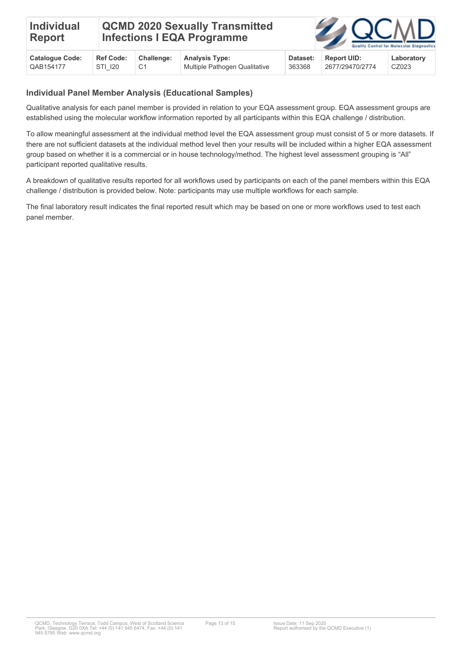| <b>QCMD 2020 Sexually Transmitted</b><br><b>Individual</b><br><b>Infections I EQA Programme</b><br>Report | <b>ZOOMD</b><br>Quality Control for Molecular Diagnostic: |
|-----------------------------------------------------------------------------------------------------------|-----------------------------------------------------------|
|-----------------------------------------------------------------------------------------------------------|-----------------------------------------------------------|

| <b>Catalogue Code:</b> | <b>Ref Code:</b> | Challenge: Analysis Type:     | Dataset: | <b>Report UID:</b> | Laboratory |
|------------------------|------------------|-------------------------------|----------|--------------------|------------|
| QAB154177              | STI 120          | Multiple Pathogen Qualitative | 363368   | 2677/29470/2774    | CZ023      |

#### **Individual Panel Member Analysis (Educational Samples)**

Qualitative analysis for each panel member is provided in relation to your EQA assessment group. EQA assessment groups are established using the molecular workflow information reported by all participants within this EQA challenge / distribution.

To allow meaningful assessment at the individual method level the EQA assessment group must consist of 5 or more datasets. If there are not sufficient datasets at the individual method level then your results will be included within a higher EQA assessment group based on whether it is a commercial or in house technology/method. The highest level assessment grouping is "All" participant reported qualitative results.

A breakdown of qualitative results reported for all workflows used by participants on each of the panel members within this EQA challenge / distribution is provided below. Note: participants may use multiple workflows for each sample.

The final laboratory result indicates the final reported result which may be based on one or more workflows used to test each panel member.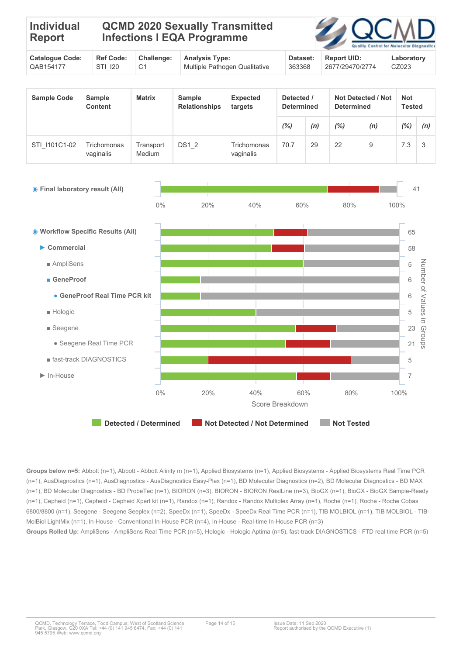| <b>Individual</b><br>Report | <b>Infections I EQA Programme</b> | QCMD 2020 Sexually Transmitted |  | 2 QCMD<br>Quality Control for Molecular Diagnostic |  |
|-----------------------------|-----------------------------------|--------------------------------|--|----------------------------------------------------|--|
|                             |                                   |                                |  |                                                    |  |

| <b>Catalogue Code:</b> | <b>Ref Code:</b> | Challenge: | <b>Analysis Type:</b>         | Dataset: | <b>Report UID:</b> | Laboratory |
|------------------------|------------------|------------|-------------------------------|----------|--------------------|------------|
| QAB154177              | STI 120          |            | Multiple Pathogen Qualitative | 363368   | 2677/29470/2774    | CZ023      |

| <b>Sample Code</b> | <b>Sample</b><br>Content | <b>Matrix</b>       | <b>Sample</b><br><b>Relationships</b> | <b>Expected</b><br>targets | Detected /<br><b>Determined</b> |     | <b>Not Detected / Not</b><br><b>Determined</b> |     | Not<br>Tested |     |
|--------------------|--------------------------|---------------------|---------------------------------------|----------------------------|---------------------------------|-----|------------------------------------------------|-----|---------------|-----|
|                    |                          |                     |                                       |                            | (%)                             | (n) | (%)                                            | (n) | $(\%)$        | (n) |
| STI 1101C1-02      | Trichomonas<br>vaginalis | Transport<br>Medium | DS1 2                                 | Trichomonas<br>vaginalis   | 70.7                            | 29  | 22                                             | 9   | 7.3           | 3   |